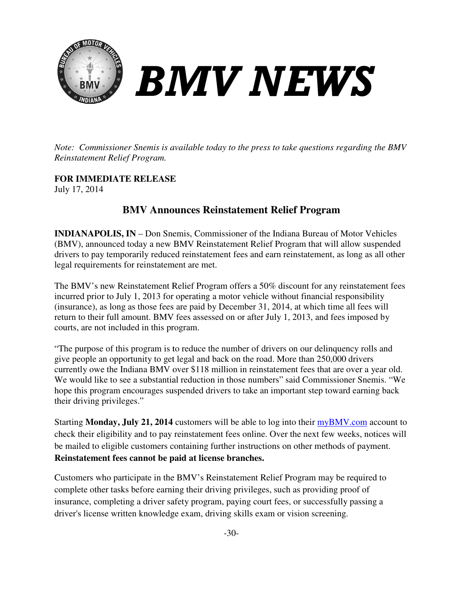

*Note: Commissioner Snemis is available today to the press to take questions regarding the BMV Reinstatement Relief Program.* 

**FOR IMMEDIATE RELEASE** July 17, 2014

## **BMV Announces nnounces Reinstatement Relief Program**

**INDIANAPOLIS, IN** – Don Snemis, Commissioner of the Indiana Bureau of Motor Vehicles INDIANAPOLIS, IN – Don Snemis, Commissioner of the Indiana Bureau of Motor Vehicles (BMV), announced today a new BMV Reinstatement Relief Program that will allow suspended drivers to pay temporarily reduced reinstatement fees and earn reinstatement, as long as all other legal requirements for reinstatement are met.

The BMV's new Reinstatement Relief Program offers a 50% discount for any reinstatement fees incurred prior to July 1, 2013 for operating a motor vehicle without financial responsibility incurred prior to July 1, 2013 for operating a motor vehicle without financial responsibi  $(insurance)$ , as long as those fees are paid by December 31, 2014, at which time all fees will return to their full amount. BMV fees assessed on or after July 1, 2013, and fees imposed by courts, are not included in this program. return to their full amount. BMV fees assessed on or after July 1, 2013, and fees imposed by<br>courts, are not included in this program.<br>"The purpose of this program is to reduce the number of drivers on our delinquency roll

give people an opportunity to get legal and back on the road. More than 250,000 drivers currently owe the Indiana BMV over \$118 million in reinstatement fees that are over a year old. We would like to see a substantial reduction in those numbers" said Commissioner Snemis. "We hope this program encourages suspended drivers to take an important step toward earning back their driving privileges."

Starting Monday, July 21, 2014 customers will be able to log into their **myBMV**.com account to check their eligibility and to pay reinstatement fees online. Over the next few weeks, notices will be mailed to eligible customers containing further instructions on other methods of payment. Reinstatement fees cannot be paid at license branches.

Customers who participate in the BMV's Reinstatement Relief Program may be required to complete other tasks before earning their driving privileges, such as providing proof of be mailed to eligible customers containing further instructions on other methods of paymen<br> **Reinstatement fees cannot be paid at license branches.**<br>
Customers who participate in the BMV's Reinstatement Relief Program may driver's license written knowledge exam, driving skills exam or vision screening.